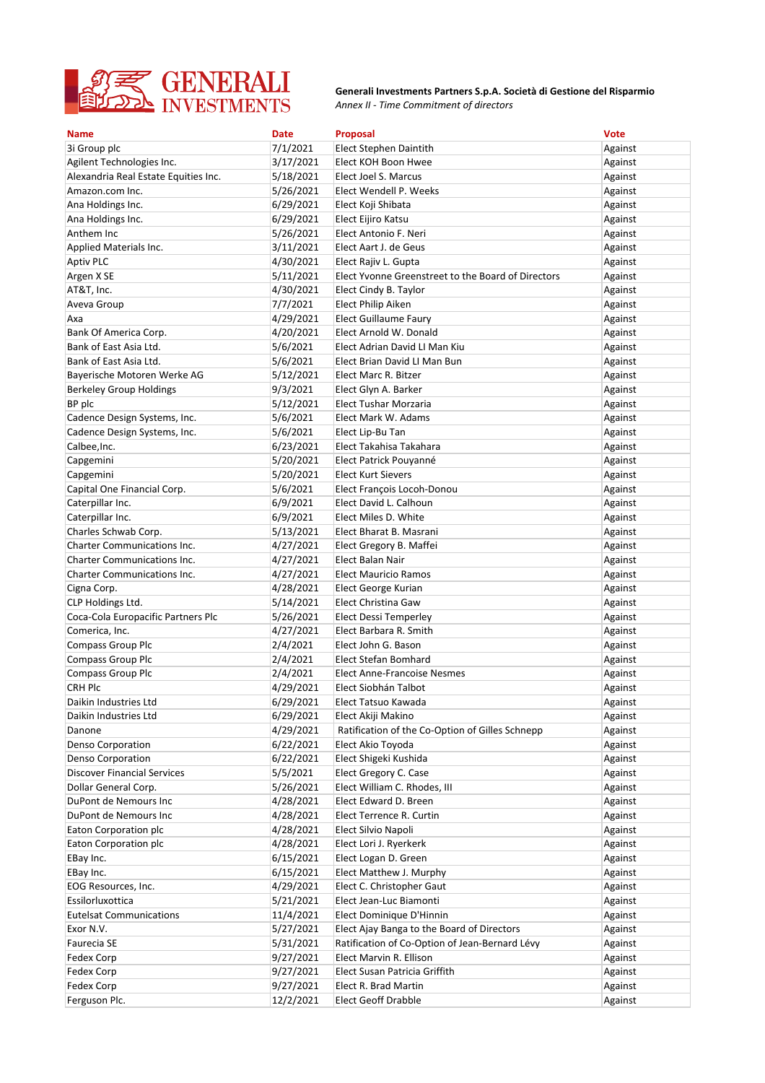

*Annex II - Time Commitment of directors* **Generali Investments Partners S.p.A. Società di Gestione del Risparmio**

| <b>Name</b>                          | <b>Date</b> | Proposal                                           | <b>Vote</b> |
|--------------------------------------|-------------|----------------------------------------------------|-------------|
| 3i Group plc                         | 7/1/2021    | Elect Stephen Daintith                             | Against     |
| Agilent Technologies Inc.            | 3/17/2021   | Elect KOH Boon Hwee                                | Against     |
| Alexandria Real Estate Equities Inc. | 5/18/2021   | Elect Joel S. Marcus                               | Against     |
| Amazon.com Inc.                      | 5/26/2021   | Elect Wendell P. Weeks                             | Against     |
| Ana Holdings Inc.                    | 6/29/2021   | Elect Koji Shibata                                 | Against     |
| Ana Holdings Inc.                    | 6/29/2021   | Elect Eijiro Katsu                                 | Against     |
| Anthem Inc                           | 5/26/2021   | Elect Antonio F. Neri                              | Against     |
| Applied Materials Inc.               | 3/11/2021   | Elect Aart J. de Geus                              | Against     |
| <b>Aptiv PLC</b>                     | 4/30/2021   | Elect Rajiv L. Gupta                               | Against     |
| Argen X SE                           | 5/11/2021   | Elect Yvonne Greenstreet to the Board of Directors | Against     |
| AT&T, Inc.                           | 4/30/2021   | Elect Cindy B. Taylor                              | Against     |
| Aveva Group                          | 7/7/2021    | Elect Philip Aiken                                 | Against     |
| Axa                                  | 4/29/2021   | Elect Guillaume Faury                              | Against     |
| Bank Of America Corp.                | 4/20/2021   | Elect Arnold W. Donald                             | Against     |
| Bank of East Asia Ltd.               | 5/6/2021    | Elect Adrian David LI Man Kiu                      | Against     |
| Bank of East Asia Ltd.               | 5/6/2021    | Elect Brian David LI Man Bun                       | Against     |
| Bayerische Motoren Werke AG          | 5/12/2021   | Elect Marc R. Bitzer                               | Against     |
| <b>Berkeley Group Holdings</b>       | 9/3/2021    | Elect Glyn A. Barker                               | Against     |
| BP plc                               | 5/12/2021   | Elect Tushar Morzaria                              | Against     |
| Cadence Design Systems, Inc.         | 5/6/2021    | Elect Mark W. Adams                                | Against     |
| Cadence Design Systems, Inc.         | 5/6/2021    | Elect Lip-Bu Tan                                   | Against     |
| Calbee, Inc.                         | 6/23/2021   | Elect Takahisa Takahara                            | Against     |
| Capgemini                            | 5/20/2021   | Elect Patrick Pouyanné                             | Against     |
| Capgemini                            | 5/20/2021   | <b>Elect Kurt Sievers</b>                          | Against     |
| Capital One Financial Corp.          | 5/6/2021    | Elect François Locoh-Donou                         | Against     |
| Caterpillar Inc.                     | 6/9/2021    | Elect David L. Calhoun                             | Against     |
| Caterpillar Inc.                     | 6/9/2021    | Elect Miles D. White                               | Against     |
| Charles Schwab Corp.                 | 5/13/2021   | Elect Bharat B. Masrani                            | Against     |
| <b>Charter Communications Inc.</b>   | 4/27/2021   | Elect Gregory B. Maffei                            | Against     |
| <b>Charter Communications Inc.</b>   | 4/27/2021   | Elect Balan Nair                                   | Against     |
| <b>Charter Communications Inc.</b>   | 4/27/2021   | <b>Elect Mauricio Ramos</b>                        | Against     |
| Cigna Corp.                          | 4/28/2021   | Elect George Kurian                                | Against     |
| CLP Holdings Ltd.                    | 5/14/2021   | Elect Christina Gaw                                | Against     |
| Coca-Cola Europacific Partners Plc   | 5/26/2021   | Elect Dessi Temperley                              | Against     |
| Comerica, Inc.                       | 4/27/2021   | Elect Barbara R. Smith                             | Against     |
| <b>Compass Group Plc</b>             | 2/4/2021    | Elect John G. Bason                                | Against     |
| <b>Compass Group Plc</b>             | 2/4/2021    | Elect Stefan Bomhard                               | Against     |
| Compass Group Plc                    | 2/4/2021    | <b>Elect Anne-Francoise Nesmes</b>                 | Against     |
| <b>CRH Plc</b>                       | 4/29/2021   | Elect Siobhán Talbot                               | Against     |
| Daikin Industries Ltd                | 6/29/2021   | Elect Tatsuo Kawada                                | Against     |
| Daikin Industries Ltd                | 6/29/2021   | Elect Akiji Makino                                 | Against     |
| Danone                               | 4/29/2021   | Ratification of the Co-Option of Gilles Schnepp    | Against     |
| Denso Corporation                    | 6/22/2021   | Elect Akio Toyoda                                  | Against     |
| Denso Corporation                    | 6/22/2021   | Elect Shigeki Kushida                              | Against     |
| <b>Discover Financial Services</b>   | 5/5/2021    | Elect Gregory C. Case                              | Against     |
| Dollar General Corp.                 | 5/26/2021   | Elect William C. Rhodes, III                       | Against     |
| DuPont de Nemours Inc                | 4/28/2021   | Elect Edward D. Breen                              | Against     |
| DuPont de Nemours Inc                | 4/28/2021   | Elect Terrence R. Curtin                           | Against     |
| Eaton Corporation plc                | 4/28/2021   | Elect Silvio Napoli                                | Against     |
| Eaton Corporation plc                | 4/28/2021   | Elect Lori J. Ryerkerk                             | Against     |
| EBay Inc.                            | 6/15/2021   | Elect Logan D. Green                               | Against     |
| EBay Inc.                            | 6/15/2021   | Elect Matthew J. Murphy                            | Against     |
| EOG Resources, Inc.                  | 4/29/2021   | Elect C. Christopher Gaut                          | Against     |
| Essilorluxottica                     | 5/21/2021   | Elect Jean-Luc Biamonti                            | Against     |
| <b>Eutelsat Communications</b>       | 11/4/2021   | Elect Dominique D'Hinnin                           | Against     |
| Exor N.V.                            | 5/27/2021   | Elect Ajay Banga to the Board of Directors         | Against     |
| Faurecia SE                          | 5/31/2021   | Ratification of Co-Option of Jean-Bernard Lévy     | Against     |
| Fedex Corp                           | 9/27/2021   | Elect Marvin R. Ellison                            | Against     |
| Fedex Corp                           | 9/27/2021   | Elect Susan Patricia Griffith                      | Against     |
| Fedex Corp                           | 9/27/2021   | Elect R. Brad Martin                               | Against     |
| Ferguson Plc.                        | 12/2/2021   | Elect Geoff Drabble                                | Against     |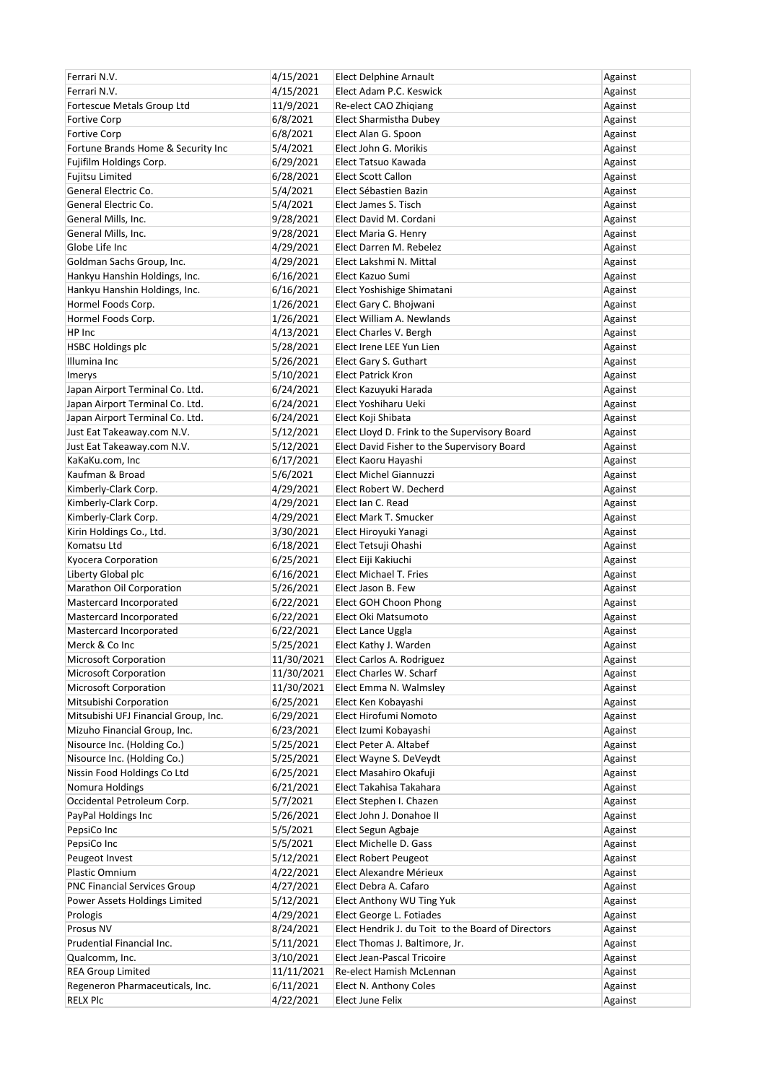| Ferrari N.V.                         | 4/15/2021  | <b>Elect Delphine Arnault</b>                       | Against |
|--------------------------------------|------------|-----------------------------------------------------|---------|
| Ferrari N.V.                         | 4/15/2021  | Elect Adam P.C. Keswick                             | Against |
| Fortescue Metals Group Ltd           | 11/9/2021  | Re-elect CAO Zhiqiang                               | Against |
| <b>Fortive Corp</b>                  | 6/8/2021   | Elect Sharmistha Dubey                              | Against |
| <b>Fortive Corp</b>                  | 6/8/2021   | Elect Alan G. Spoon                                 | Against |
| Fortune Brands Home & Security Inc   | 5/4/2021   | Elect John G. Morikis                               | Against |
| Fujifilm Holdings Corp.              | 6/29/2021  | Elect Tatsuo Kawada                                 | Against |
| Fujitsu Limited                      | 6/28/2021  | <b>Elect Scott Callon</b>                           | Against |
| General Electric Co.                 | 5/4/2021   | Elect Sébastien Bazin                               | Against |
| General Electric Co.                 | 5/4/2021   | Elect James S. Tisch                                | Against |
| General Mills, Inc.                  | 9/28/2021  | Elect David M. Cordani                              | Against |
| General Mills, Inc.                  | 9/28/2021  | Elect Maria G. Henry                                | Against |
| Globe Life Inc                       | 4/29/2021  | Elect Darren M. Rebelez                             | Against |
| Goldman Sachs Group, Inc.            | 4/29/2021  | Elect Lakshmi N. Mittal                             | Against |
| Hankyu Hanshin Holdings, Inc.        | 6/16/2021  | Elect Kazuo Sumi                                    | Against |
| Hankyu Hanshin Holdings, Inc.        | 6/16/2021  | Elect Yoshishige Shimatani                          | Against |
| Hormel Foods Corp.                   |            |                                                     |         |
|                                      | 1/26/2021  | Elect Gary C. Bhojwani<br>Elect William A. Newlands | Against |
| Hormel Foods Corp.                   | 1/26/2021  |                                                     | Against |
| HP Inc                               | 4/13/2021  | Elect Charles V. Bergh                              | Against |
| <b>HSBC Holdings plc</b>             | 5/28/2021  | Elect Irene LEE Yun Lien                            | Against |
| Illumina Inc                         | 5/26/2021  | Elect Gary S. Guthart                               | Against |
| Imerys                               | 5/10/2021  | <b>Elect Patrick Kron</b>                           | Against |
| Japan Airport Terminal Co. Ltd.      | 6/24/2021  | Elect Kazuyuki Harada                               | Against |
| Japan Airport Terminal Co. Ltd.      | 6/24/2021  | Elect Yoshiharu Ueki                                | Against |
| Japan Airport Terminal Co. Ltd.      | 6/24/2021  | Elect Koji Shibata                                  | Against |
| Just Eat Takeaway.com N.V.           | 5/12/2021  | Elect Lloyd D. Frink to the Supervisory Board       | Against |
| Just Eat Takeaway.com N.V.           | 5/12/2021  | Elect David Fisher to the Supervisory Board         | Against |
| KaKaKu.com, Inc                      | 6/17/2021  | Elect Kaoru Hayashi                                 | Against |
| Kaufman & Broad                      | 5/6/2021   | Elect Michel Giannuzzi                              | Against |
| Kimberly-Clark Corp.                 | 4/29/2021  | Elect Robert W. Decherd                             | Against |
| Kimberly-Clark Corp.                 | 4/29/2021  | Elect Ian C. Read                                   | Against |
| Kimberly-Clark Corp.                 | 4/29/2021  | Elect Mark T. Smucker                               | Against |
| Kirin Holdings Co., Ltd.             | 3/30/2021  | Elect Hiroyuki Yanagi                               | Against |
| Komatsu Ltd                          | 6/18/2021  | Elect Tetsuji Ohashi                                | Against |
| Kyocera Corporation                  | 6/25/2021  | Elect Eiji Kakiuchi                                 | Against |
| Liberty Global plc                   |            | <b>Elect Michael T. Fries</b>                       | Against |
|                                      | 6/16/2021  |                                                     |         |
| Marathon Oil Corporation             | 5/26/2021  | Elect Jason B. Few                                  | Against |
| Mastercard Incorporated              | 6/22/2021  | Elect GOH Choon Phong                               | Against |
| Mastercard Incorporated              | 6/22/2021  | Elect Oki Matsumoto                                 | Against |
| Mastercard Incorporated              | 6/22/2021  | Elect Lance Uggla                                   | Against |
| Merck & Co Inc                       | 5/25/2021  | Elect Kathy J. Warden                               | Against |
| Microsoft Corporation                | 11/30/2021 | Elect Carlos A. Rodriguez                           | Against |
| Microsoft Corporation                | 11/30/2021 | Elect Charles W. Scharf                             | Against |
| <b>Microsoft Corporation</b>         | 11/30/2021 | Elect Emma N. Walmsley                              | Against |
| Mitsubishi Corporation               | 6/25/2021  | Elect Ken Kobayashi                                 | Against |
| Mitsubishi UFJ Financial Group, Inc. | 6/29/2021  | Elect Hirofumi Nomoto                               | Against |
| Mizuho Financial Group, Inc.         | 6/23/2021  | Elect Izumi Kobayashi                               | Against |
| Nisource Inc. (Holding Co.)          | 5/25/2021  | Elect Peter A. Altabef                              | Against |
| Nisource Inc. (Holding Co.)          | 5/25/2021  | Elect Wayne S. DeVeydt                              | Against |
| Nissin Food Holdings Co Ltd          | 6/25/2021  | Elect Masahiro Okafuji                              | Against |
| Nomura Holdings                      | 6/21/2021  | Elect Takahisa Takahara                             | Against |
| Occidental Petroleum Corp.           | 5/7/2021   | Elect Stephen I. Chazen                             | Against |
| PayPal Holdings Inc                  | 5/26/2021  | Elect John J. Donahoe II                            | Against |
| PepsiCo Inc                          | 5/5/2021   | Elect Segun Agbaje                                  | Against |
| PepsiCo Inc                          | 5/5/2021   | Elect Michelle D. Gass                              | Against |
| Peugeot Invest                       | 5/12/2021  | <b>Elect Robert Peugeot</b>                         | Against |
| Plastic Omnium                       | 4/22/2021  | Elect Alexandre Mérieux                             | Against |
| <b>PNC Financial Services Group</b>  | 4/27/2021  | Elect Debra A. Cafaro                               | Against |
| Power Assets Holdings Limited        | 5/12/2021  | Elect Anthony WU Ting Yuk                           | Against |
|                                      |            |                                                     |         |
| Prologis                             | 4/29/2021  | Elect George L. Fotiades                            | Against |
| Prosus NV                            | 8/24/2021  | Elect Hendrik J. du Toit to the Board of Directors  | Against |
| Prudential Financial Inc.            | 5/11/2021  | Elect Thomas J. Baltimore, Jr.                      | Against |
| Qualcomm, Inc.                       | 3/10/2021  | Elect Jean-Pascal Tricoire                          | Against |
| <b>REA Group Limited</b>             | 11/11/2021 | Re-elect Hamish McLennan                            | Against |
| Regeneron Pharmaceuticals, Inc.      | 6/11/2021  | Elect N. Anthony Coles                              | Against |
| <b>RELX Plc</b>                      | 4/22/2021  | Elect June Felix                                    | Against |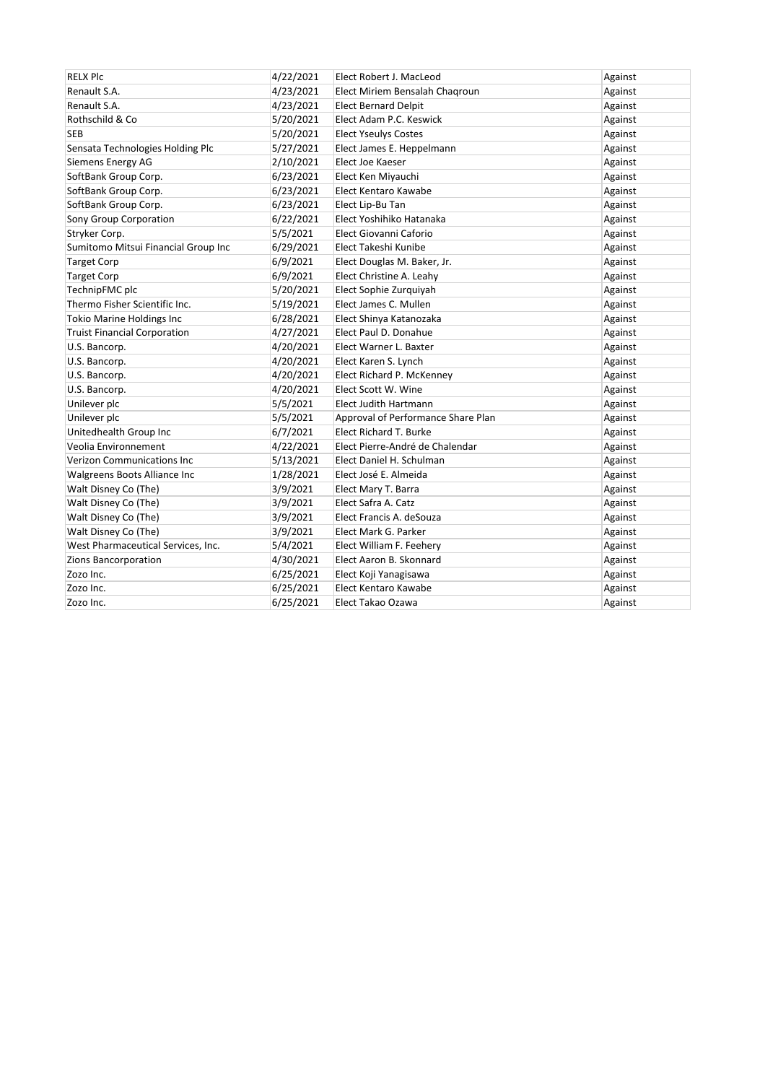| <b>RELX PIC</b>                     | 4/22/2021 | Elect Robert J. MacLeod            | Against |
|-------------------------------------|-----------|------------------------------------|---------|
| Renault S.A.                        | 4/23/2021 | Elect Miriem Bensalah Chagroun     | Against |
| Renault S.A.                        | 4/23/2021 | <b>Elect Bernard Delpit</b>        | Against |
| Rothschild & Co                     | 5/20/2021 | Elect Adam P.C. Keswick            | Against |
| <b>SEB</b>                          | 5/20/2021 | <b>Elect Yseulys Costes</b>        | Against |
| Sensata Technologies Holding Plc    | 5/27/2021 | Elect James E. Heppelmann          | Against |
| Siemens Energy AG                   | 2/10/2021 | Elect Joe Kaeser                   | Against |
| SoftBank Group Corp.                | 6/23/2021 | Elect Ken Miyauchi                 | Against |
| SoftBank Group Corp.                | 6/23/2021 | Elect Kentaro Kawabe               | Against |
| SoftBank Group Corp.                | 6/23/2021 | Elect Lip-Bu Tan                   | Against |
| Sony Group Corporation              | 6/22/2021 | Elect Yoshihiko Hatanaka           | Against |
| Stryker Corp.                       | 5/5/2021  | Elect Giovanni Caforio             | Against |
| Sumitomo Mitsui Financial Group Inc | 6/29/2021 | Elect Takeshi Kunibe               | Against |
| <b>Target Corp</b>                  | 6/9/2021  | Elect Douglas M. Baker, Jr.        | Against |
| <b>Target Corp</b>                  | 6/9/2021  | Elect Christine A. Leahy           | Against |
| TechnipFMC plc                      | 5/20/2021 | Elect Sophie Zurquiyah             | Against |
| Thermo Fisher Scientific Inc.       | 5/19/2021 | Elect James C. Mullen              | Against |
| <b>Tokio Marine Holdings Inc</b>    | 6/28/2021 | Elect Shinya Katanozaka            | Against |
| <b>Truist Financial Corporation</b> | 4/27/2021 | Elect Paul D. Donahue              | Against |
| U.S. Bancorp.                       | 4/20/2021 | Elect Warner L. Baxter             | Against |
| U.S. Bancorp.                       | 4/20/2021 | Elect Karen S. Lynch               | Against |
| U.S. Bancorp.                       | 4/20/2021 | Elect Richard P. McKenney          | Against |
| U.S. Bancorp.                       | 4/20/2021 | Elect Scott W. Wine                | Against |
| Unilever plc                        | 5/5/2021  | <b>Elect Judith Hartmann</b>       | Against |
| Unilever plc                        | 5/5/2021  | Approval of Performance Share Plan | Against |
| Unitedhealth Group Inc              | 6/7/2021  | Elect Richard T. Burke             | Against |
| Veolia Environnement                | 4/22/2021 | Elect Pierre-André de Chalendar    | Against |
| Verizon Communications Inc          | 5/13/2021 | Elect Daniel H. Schulman           | Against |
| Walgreens Boots Alliance Inc        | 1/28/2021 | Elect José E. Almeida              | Against |
| Walt Disney Co (The)                | 3/9/2021  | Elect Mary T. Barra                | Against |
| Walt Disney Co (The)                | 3/9/2021  | Elect Safra A. Catz                | Against |
| Walt Disney Co (The)                | 3/9/2021  | Elect Francis A. deSouza           | Against |
| Walt Disney Co (The)                | 3/9/2021  | Elect Mark G. Parker               | Against |
| West Pharmaceutical Services, Inc.  | 5/4/2021  | Elect William F. Feehery           | Against |
| Zions Bancorporation                | 4/30/2021 | Elect Aaron B. Skonnard            | Against |
| Zozo Inc.                           | 6/25/2021 | Elect Koji Yanagisawa              | Against |
| Zozo Inc.                           | 6/25/2021 | Elect Kentaro Kawabe               | Against |
| Zozo Inc.                           | 6/25/2021 | Elect Takao Ozawa                  | Against |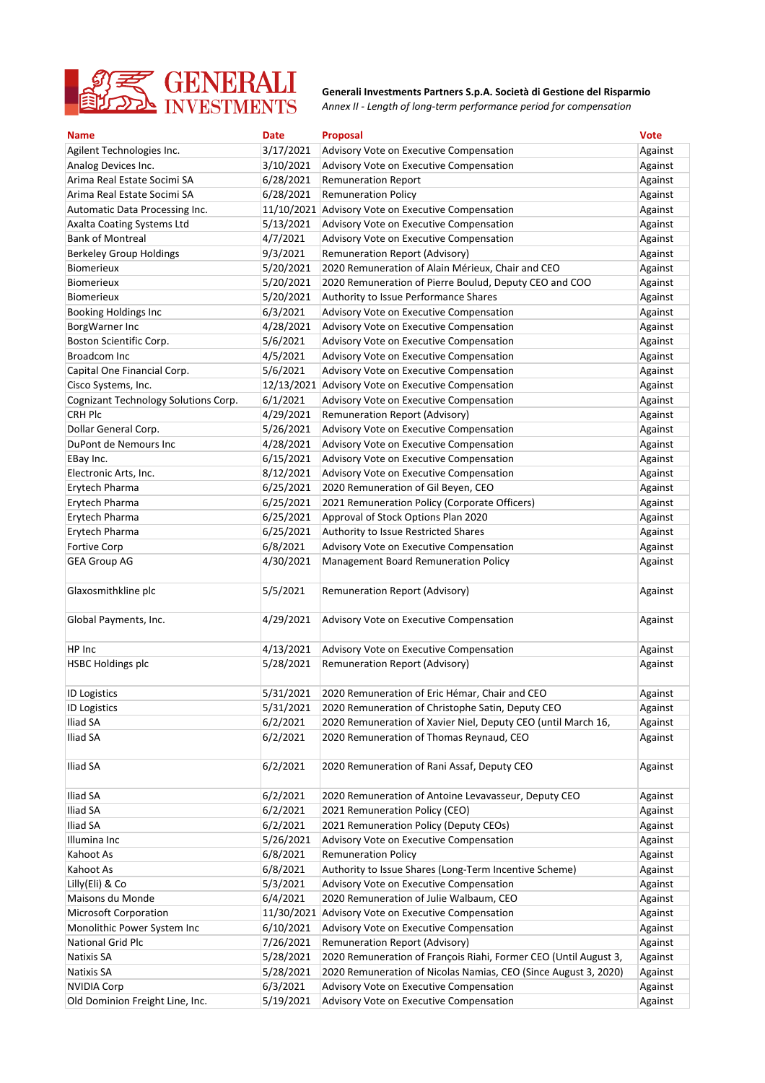

*Annex II - Length of long-term performance period for compensation* **Generali Investments Partners S.p.A. Società di Gestione del Risparmio**

| <b>Name</b>                          | <b>Date</b> | <b>Proposal</b>                                                  | <b>Vote</b> |
|--------------------------------------|-------------|------------------------------------------------------------------|-------------|
| Agilent Technologies Inc.            | 3/17/2021   | Advisory Vote on Executive Compensation                          | Against     |
| Analog Devices Inc.                  | 3/10/2021   | Advisory Vote on Executive Compensation                          | Against     |
| Arima Real Estate Socimi SA          | 6/28/2021   | <b>Remuneration Report</b>                                       | Against     |
| Arima Real Estate Socimi SA          | 6/28/2021   | <b>Remuneration Policy</b>                                       | Against     |
| Automatic Data Processing Inc.       |             | 11/10/2021 Advisory Vote on Executive Compensation               | Against     |
| Axalta Coating Systems Ltd           | 5/13/2021   | Advisory Vote on Executive Compensation                          | Against     |
| <b>Bank of Montreal</b>              | 4/7/2021    | Advisory Vote on Executive Compensation                          | Against     |
| <b>Berkeley Group Holdings</b>       | 9/3/2021    | <b>Remuneration Report (Advisory)</b>                            | Against     |
| <b>Biomerieux</b>                    | 5/20/2021   | 2020 Remuneration of Alain Mérieux, Chair and CEO                | Against     |
| <b>Biomerieux</b>                    | 5/20/2021   | 2020 Remuneration of Pierre Boulud, Deputy CEO and COO           | Against     |
| <b>Biomerieux</b>                    | 5/20/2021   | Authority to Issue Performance Shares                            | Against     |
| <b>Booking Holdings Inc</b>          | 6/3/2021    | Advisory Vote on Executive Compensation                          | Against     |
| BorgWarner Inc                       | 4/28/2021   | Advisory Vote on Executive Compensation                          | Against     |
| Boston Scientific Corp.              | 5/6/2021    | Advisory Vote on Executive Compensation                          | Against     |
| Broadcom Inc                         | 4/5/2021    | Advisory Vote on Executive Compensation                          | Against     |
| Capital One Financial Corp.          | 5/6/2021    | Advisory Vote on Executive Compensation                          | Against     |
| Cisco Systems, Inc.                  |             | 12/13/2021 Advisory Vote on Executive Compensation               | Against     |
| Cognizant Technology Solutions Corp. | 6/1/2021    | Advisory Vote on Executive Compensation                          | Against     |
| <b>CRH Plc</b>                       | 4/29/2021   | <b>Remuneration Report (Advisory)</b>                            | Against     |
| Dollar General Corp.                 | 5/26/2021   | Advisory Vote on Executive Compensation                          | Against     |
| DuPont de Nemours Inc                | 4/28/2021   | Advisory Vote on Executive Compensation                          | Against     |
| EBay Inc.                            | 6/15/2021   | Advisory Vote on Executive Compensation                          | Against     |
| Electronic Arts, Inc.                | 8/12/2021   | Advisory Vote on Executive Compensation                          | Against     |
| Erytech Pharma                       | 6/25/2021   | 2020 Remuneration of Gil Beyen, CEO                              | Against     |
| Erytech Pharma                       | 6/25/2021   | 2021 Remuneration Policy (Corporate Officers)                    | Against     |
| Erytech Pharma                       | 6/25/2021   | Approval of Stock Options Plan 2020                              | Against     |
| Erytech Pharma                       | 6/25/2021   | Authority to Issue Restricted Shares                             | Against     |
| <b>Fortive Corp</b>                  | 6/8/2021    | Advisory Vote on Executive Compensation                          | Against     |
| <b>GEA Group AG</b>                  | 4/30/2021   | Management Board Remuneration Policy                             | Against     |
| Glaxosmithkline plc                  | 5/5/2021    | Remuneration Report (Advisory)                                   | Against     |
| Global Payments, Inc.                | 4/29/2021   | Advisory Vote on Executive Compensation                          | Against     |
| HP Inc                               | 4/13/2021   | Advisory Vote on Executive Compensation                          | Against     |
| <b>HSBC Holdings plc</b>             | 5/28/2021   | Remuneration Report (Advisory)                                   | Against     |
|                                      |             |                                                                  |             |
| <b>ID Logistics</b>                  | 5/31/2021   | 2020 Remuneration of Eric Hémar, Chair and CEO                   | Against     |
| <b>ID Logistics</b>                  | 5/31/2021   | 2020 Remuneration of Christophe Satin, Deputy CEO                | Against     |
| Iliad SA                             | 6/2/2021    | 2020 Remuneration of Xavier Niel, Deputy CEO (until March 16,    | Against     |
| Iliad SA                             | 6/2/2021    | 2020 Remuneration of Thomas Reynaud, CEO                         | Against     |
| Iliad SA                             | 6/2/2021    | 2020 Remuneration of Rani Assaf, Deputy CEO                      | Against     |
| Iliad SA                             | 6/2/2021    | 2020 Remuneration of Antoine Levavasseur, Deputy CEO             | Against     |
| Iliad SA                             | 6/2/2021    | 2021 Remuneration Policy (CEO)                                   | Against     |
| Iliad SA                             | 6/2/2021    | 2021 Remuneration Policy (Deputy CEOs)                           | Against     |
| Illumina Inc                         | 5/26/2021   | Advisory Vote on Executive Compensation                          | Against     |
| Kahoot As                            | 6/8/2021    | <b>Remuneration Policy</b>                                       | Against     |
| Kahoot As                            | 6/8/2021    | Authority to Issue Shares (Long-Term Incentive Scheme)           | Against     |
| Lilly(Eli) & Co                      | 5/3/2021    | Advisory Vote on Executive Compensation                          | Against     |
| Maisons du Monde                     | 6/4/2021    | 2020 Remuneration of Julie Walbaum, CEO                          | Against     |
| <b>Microsoft Corporation</b>         | 11/30/2021  | Advisory Vote on Executive Compensation                          | Against     |
| Monolithic Power System Inc          | 6/10/2021   | Advisory Vote on Executive Compensation                          | Against     |
| <b>National Grid Plc</b>             | 7/26/2021   | Remuneration Report (Advisory)                                   | Against     |
| Natixis SA                           | 5/28/2021   | 2020 Remuneration of François Riahi, Former CEO (Until August 3, | Against     |
| Natixis SA                           | 5/28/2021   | 2020 Remuneration of Nicolas Namias, CEO (Since August 3, 2020)  | Against     |
| <b>NVIDIA Corp</b>                   | 6/3/2021    | Advisory Vote on Executive Compensation                          | Against     |
| Old Dominion Freight Line, Inc.      | 5/19/2021   | Advisory Vote on Executive Compensation                          | Against     |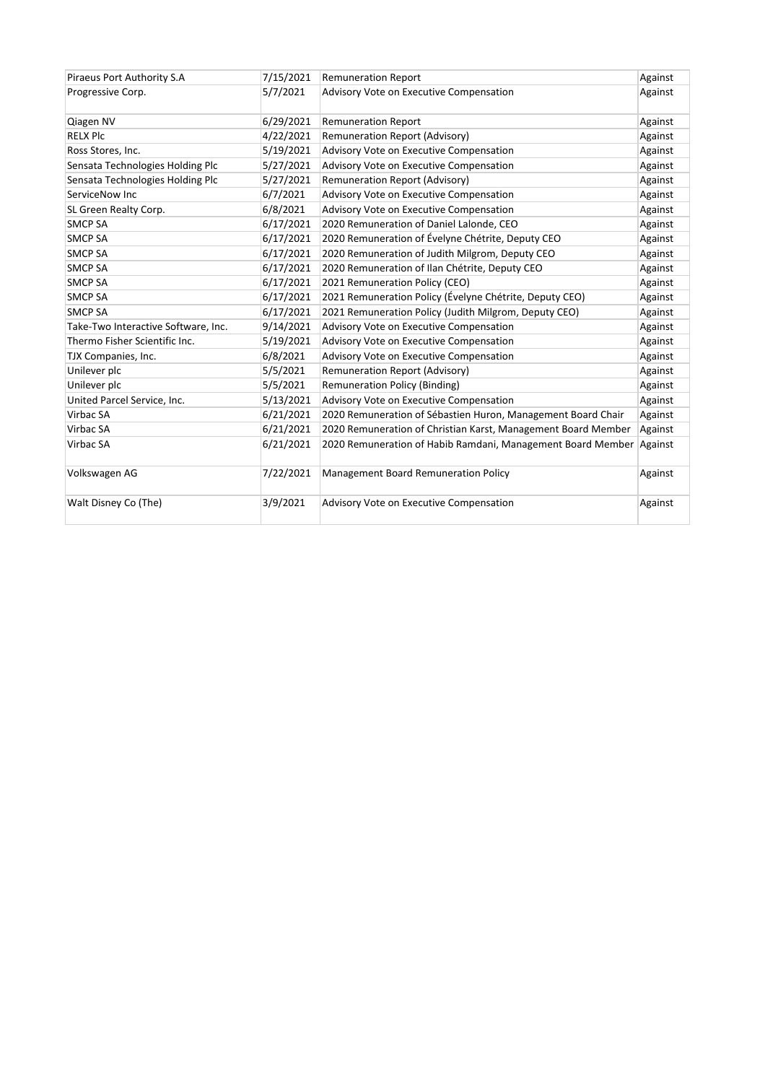| Piraeus Port Authority S.A          | 7/15/2021 | <b>Remuneration Report</b>                                    | Against |
|-------------------------------------|-----------|---------------------------------------------------------------|---------|
| Progressive Corp.                   | 5/7/2021  | Advisory Vote on Executive Compensation                       | Against |
| Qiagen NV                           | 6/29/2021 | <b>Remuneration Report</b>                                    | Against |
| <b>RELX Plc</b>                     | 4/22/2021 | Remuneration Report (Advisory)                                | Against |
| Ross Stores, Inc.                   | 5/19/2021 | Advisory Vote on Executive Compensation                       | Against |
| Sensata Technologies Holding Plc    | 5/27/2021 | Advisory Vote on Executive Compensation                       | Against |
| Sensata Technologies Holding Plc    | 5/27/2021 | Remuneration Report (Advisory)                                | Against |
| ServiceNow Inc                      | 6/7/2021  | Advisory Vote on Executive Compensation                       | Against |
| SL Green Realty Corp.               | 6/8/2021  | Advisory Vote on Executive Compensation                       | Against |
| <b>SMCP SA</b>                      | 6/17/2021 | 2020 Remuneration of Daniel Lalonde, CEO                      | Against |
| <b>SMCP SA</b>                      | 6/17/2021 | 2020 Remuneration of Évelyne Chétrite, Deputy CEO             | Against |
| <b>SMCP SA</b>                      | 6/17/2021 | 2020 Remuneration of Judith Milgrom, Deputy CEO               | Against |
| <b>SMCP SA</b>                      | 6/17/2021 | 2020 Remuneration of Ilan Chétrite, Deputy CEO                | Against |
| <b>SMCP SA</b>                      | 6/17/2021 | 2021 Remuneration Policy (CEO)                                | Against |
| <b>SMCP SA</b>                      | 6/17/2021 | 2021 Remuneration Policy (Évelyne Chétrite, Deputy CEO)       | Against |
| <b>SMCP SA</b>                      | 6/17/2021 | 2021 Remuneration Policy (Judith Milgrom, Deputy CEO)         | Against |
| Take-Two Interactive Software, Inc. | 9/14/2021 | Advisory Vote on Executive Compensation                       | Against |
| Thermo Fisher Scientific Inc.       | 5/19/2021 | Advisory Vote on Executive Compensation                       | Against |
| TJX Companies, Inc.                 | 6/8/2021  | Advisory Vote on Executive Compensation                       | Against |
| Unilever plc                        | 5/5/2021  | Remuneration Report (Advisory)                                | Against |
| Unilever plc                        | 5/5/2021  | <b>Remuneration Policy (Binding)</b>                          | Against |
| United Parcel Service, Inc.         | 5/13/2021 | Advisory Vote on Executive Compensation                       | Against |
| Virbac SA                           | 6/21/2021 | 2020 Remuneration of Sébastien Huron, Management Board Chair  | Against |
| Virbac SA                           | 6/21/2021 | 2020 Remuneration of Christian Karst, Management Board Member | Against |
| Virbac SA                           | 6/21/2021 | 2020 Remuneration of Habib Ramdani, Management Board Member   | Against |
| Volkswagen AG                       | 7/22/2021 | Management Board Remuneration Policy                          | Against |
| Walt Disney Co (The)                | 3/9/2021  | Advisory Vote on Executive Compensation                       | Against |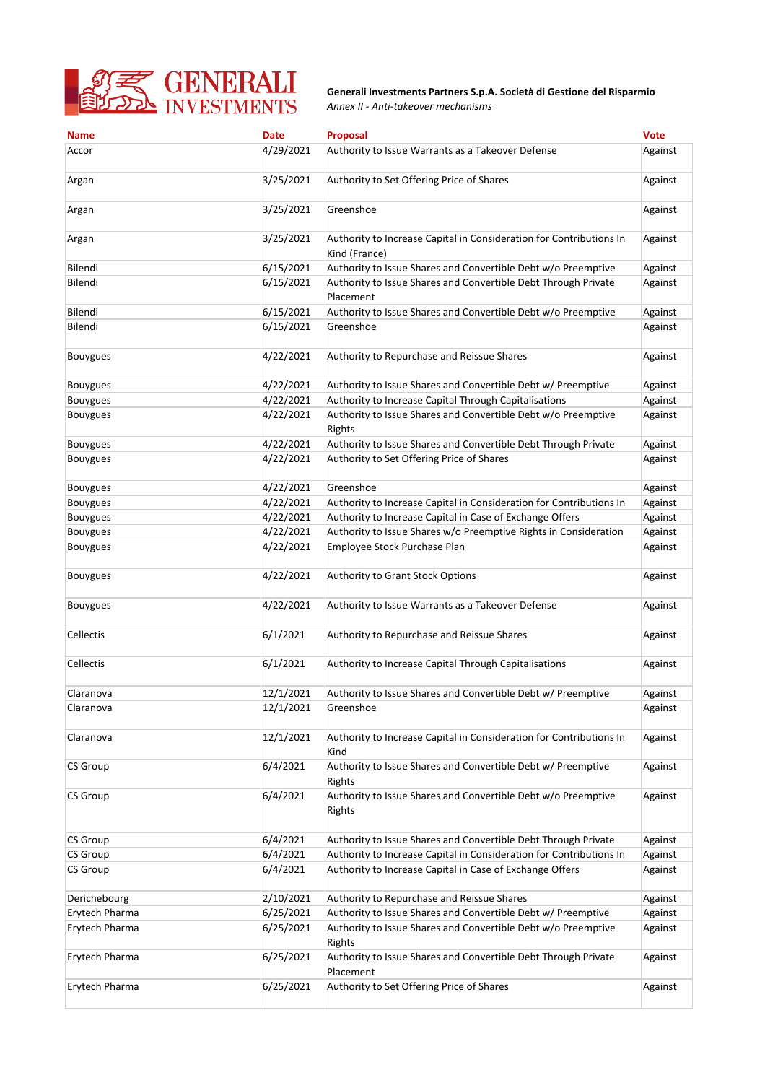

*Annex II - Anti-takeover mechanisms* **Generali Investments Partners S.p.A. Società di Gestione del Risparmio**

| <b>Name</b>     | <b>Date</b> | Proposal                                                                             | <b>Vote</b> |
|-----------------|-------------|--------------------------------------------------------------------------------------|-------------|
| Accor           | 4/29/2021   | Authority to Issue Warrants as a Takeover Defense                                    | Against     |
| Argan           | 3/25/2021   | Authority to Set Offering Price of Shares                                            | Against     |
| Argan           | 3/25/2021   | Greenshoe                                                                            | Against     |
| Argan           | 3/25/2021   | Authority to Increase Capital in Consideration for Contributions In<br>Kind (France) | Against     |
| Bilendi         | 6/15/2021   | Authority to Issue Shares and Convertible Debt w/o Preemptive                        | Against     |
| Bilendi         | 6/15/2021   | Authority to Issue Shares and Convertible Debt Through Private<br>Placement          | Against     |
| Bilendi         | 6/15/2021   | Authority to Issue Shares and Convertible Debt w/o Preemptive                        | Against     |
| Bilendi         | 6/15/2021   | Greenshoe                                                                            | Against     |
| <b>Bouygues</b> | 4/22/2021   | Authority to Repurchase and Reissue Shares                                           | Against     |
| <b>Bouygues</b> | 4/22/2021   | Authority to Issue Shares and Convertible Debt w/ Preemptive                         | Against     |
| Bouygues        | 4/22/2021   | Authority to Increase Capital Through Capitalisations                                | Against     |
| <b>Bouygues</b> | 4/22/2021   | Authority to Issue Shares and Convertible Debt w/o Preemptive<br>Rights              | Against     |
| <b>Bouygues</b> | 4/22/2021   | Authority to Issue Shares and Convertible Debt Through Private                       | Against     |
| <b>Bouygues</b> | 4/22/2021   | Authority to Set Offering Price of Shares                                            | Against     |
| <b>Bouygues</b> | 4/22/2021   | Greenshoe                                                                            | Against     |
| <b>Bouygues</b> | 4/22/2021   | Authority to Increase Capital in Consideration for Contributions In                  | Against     |
| <b>Bouygues</b> | 4/22/2021   | Authority to Increase Capital in Case of Exchange Offers                             | Against     |
| <b>Bouygues</b> | 4/22/2021   | Authority to Issue Shares w/o Preemptive Rights in Consideration                     | Against     |
| <b>Bouygues</b> | 4/22/2021   | Employee Stock Purchase Plan                                                         | Against     |
| <b>Bouygues</b> | 4/22/2021   | Authority to Grant Stock Options                                                     | Against     |
| <b>Bouygues</b> | 4/22/2021   | Authority to Issue Warrants as a Takeover Defense                                    | Against     |
| Cellectis       | 6/1/2021    | Authority to Repurchase and Reissue Shares                                           | Against     |
| Cellectis       | 6/1/2021    | Authority to Increase Capital Through Capitalisations                                | Against     |
| Claranova       | 12/1/2021   | Authority to Issue Shares and Convertible Debt w/ Preemptive                         | Against     |
| Claranova       | 12/1/2021   | Greenshoe                                                                            | Against     |
| Claranova       | 12/1/2021   | Authority to Increase Capital in Consideration for Contributions In<br>Kind          | Against     |
| CS Group        | 6/4/2021    | Authority to Issue Shares and Convertible Debt w/ Preemptive<br>Rights               | Against     |
| CS Group        | 6/4/2021    | Authority to Issue Shares and Convertible Debt w/o Preemptive<br>Rights              | Against     |
| CS Group        | 6/4/2021    | Authority to Issue Shares and Convertible Debt Through Private                       | Against     |
| <b>CS Group</b> | 6/4/2021    | Authority to Increase Capital in Consideration for Contributions In                  | Against     |
| CS Group        | 6/4/2021    | Authority to Increase Capital in Case of Exchange Offers                             | Against     |
| Derichebourg    | 2/10/2021   | Authority to Repurchase and Reissue Shares                                           | Against     |
| Erytech Pharma  | 6/25/2021   | Authority to Issue Shares and Convertible Debt w/ Preemptive                         | Against     |
| Erytech Pharma  | 6/25/2021   | Authority to Issue Shares and Convertible Debt w/o Preemptive                        | Against     |
|                 |             | Rights                                                                               |             |
| Erytech Pharma  | 6/25/2021   | Authority to Issue Shares and Convertible Debt Through Private<br>Placement          | Against     |
| Erytech Pharma  | 6/25/2021   | Authority to Set Offering Price of Shares                                            | Against     |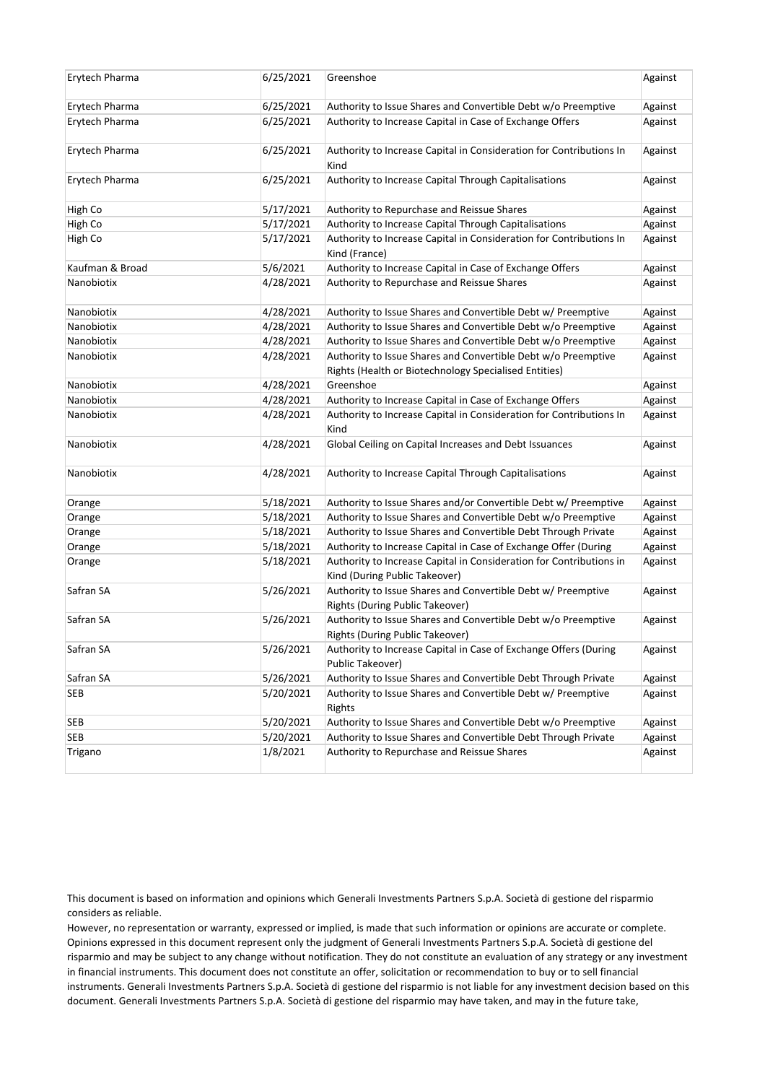| Erytech Pharma  | 6/25/2021 | Greenshoe                                                                                            | Against |
|-----------------|-----------|------------------------------------------------------------------------------------------------------|---------|
| Erytech Pharma  | 6/25/2021 | Authority to Issue Shares and Convertible Debt w/o Preemptive                                        | Against |
| Erytech Pharma  | 6/25/2021 | Authority to Increase Capital in Case of Exchange Offers                                             | Against |
| Erytech Pharma  | 6/25/2021 | Authority to Increase Capital in Consideration for Contributions In<br>Kind                          | Against |
| Erytech Pharma  | 6/25/2021 | Authority to Increase Capital Through Capitalisations                                                | Against |
| High Co         | 5/17/2021 | Authority to Repurchase and Reissue Shares                                                           | Against |
| High Co         | 5/17/2021 | Authority to Increase Capital Through Capitalisations                                                | Against |
| High Co         | 5/17/2021 | Authority to Increase Capital in Consideration for Contributions In<br>Kind (France)                 | Against |
| Kaufman & Broad | 5/6/2021  | Authority to Increase Capital in Case of Exchange Offers                                             | Against |
| Nanobiotix      | 4/28/2021 | Authority to Repurchase and Reissue Shares                                                           | Against |
| Nanobiotix      | 4/28/2021 | Authority to Issue Shares and Convertible Debt w/ Preemptive                                         | Against |
| Nanobiotix      | 4/28/2021 | Authority to Issue Shares and Convertible Debt w/o Preemptive                                        | Against |
| Nanobiotix      | 4/28/2021 | Authority to Issue Shares and Convertible Debt w/o Preemptive                                        | Against |
| Nanobiotix      | 4/28/2021 | Authority to Issue Shares and Convertible Debt w/o Preemptive                                        | Against |
|                 |           | Rights (Health or Biotechnology Specialised Entities)                                                |         |
| Nanobiotix      | 4/28/2021 | Greenshoe                                                                                            | Against |
| Nanobiotix      | 4/28/2021 | Authority to Increase Capital in Case of Exchange Offers                                             | Against |
| Nanobiotix      | 4/28/2021 | Authority to Increase Capital in Consideration for Contributions In<br>Kind                          | Against |
| Nanobiotix      | 4/28/2021 | Global Ceiling on Capital Increases and Debt Issuances                                               | Against |
| Nanobiotix      | 4/28/2021 | Authority to Increase Capital Through Capitalisations                                                | Against |
| Orange          | 5/18/2021 | Authority to Issue Shares and/or Convertible Debt w/ Preemptive                                      | Against |
| Orange          | 5/18/2021 | Authority to Issue Shares and Convertible Debt w/o Preemptive                                        | Against |
| Orange          | 5/18/2021 | Authority to Issue Shares and Convertible Debt Through Private                                       | Against |
| Orange          | 5/18/2021 | Authority to Increase Capital in Case of Exchange Offer (During                                      | Against |
| Orange          | 5/18/2021 | Authority to Increase Capital in Consideration for Contributions in<br>Kind (During Public Takeover) | Against |
| Safran SA       | 5/26/2021 | Authority to Issue Shares and Convertible Debt w/ Preemptive<br>Rights (During Public Takeover)      | Against |
| Safran SA       | 5/26/2021 | Authority to Issue Shares and Convertible Debt w/o Preemptive<br>Rights (During Public Takeover)     | Against |
| Safran SA       | 5/26/2021 | Authority to Increase Capital in Case of Exchange Offers (During<br>Public Takeover)                 | Against |
| Safran SA       | 5/26/2021 | Authority to Issue Shares and Convertible Debt Through Private                                       | Against |
| <b>SEB</b>      | 5/20/2021 | Authority to Issue Shares and Convertible Debt w/ Preemptive<br>Rights                               | Against |
| <b>SEB</b>      | 5/20/2021 | Authority to Issue Shares and Convertible Debt w/o Preemptive                                        | Against |
| <b>SEB</b>      | 5/20/2021 | Authority to Issue Shares and Convertible Debt Through Private                                       | Against |
| Trigano         | 1/8/2021  | Authority to Repurchase and Reissue Shares                                                           | Against |
|                 |           |                                                                                                      |         |

This document is based on information and opinions which Generali Investments Partners S.p.A. Società di gestione del risparmio considers as reliable.

However, no representation or warranty, expressed or implied, is made that such information or opinions are accurate or complete. Opinions expressed in this document represent only the judgment of Generali Investments Partners S.p.A. Società di gestione del risparmio and may be subject to any change without notification. They do not constitute an evaluation of any strategy or any investment in financial instruments. This document does not constitute an offer, solicitation or recommendation to buy or to sell financial instruments. Generali Investments Partners S.p.A. Società di gestione del risparmio is not liable for any investment decision based on this document. Generali Investments Partners S.p.A. Società di gestione del risparmio may have taken, and may in the future take,